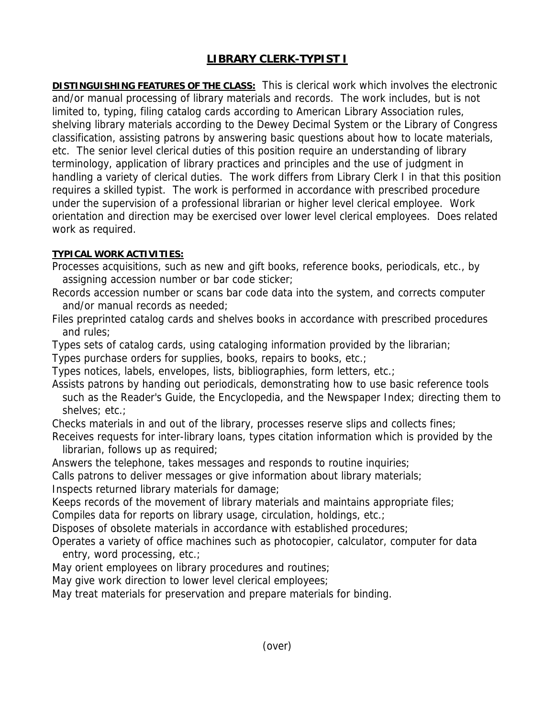## **LIBRARY CLERK-TYPIST I**

**DISTINGUISHING FEATURES OF THE CLASS:** This is clerical work which involves the electronic and/or manual processing of library materials and records. The work includes, but is not limited to, typing, filing catalog cards according to American Library Association rules, shelving library materials according to the Dewey Decimal System or the Library of Congress classification, assisting patrons by answering basic questions about how to locate materials, etc. The senior level clerical duties of this position require an understanding of library terminology, application of library practices and principles and the use of judgment in handling a variety of clerical duties. The work differs from Library Clerk I in that this position requires a skilled typist. The work is performed in accordance with prescribed procedure under the supervision of a professional librarian or higher level clerical employee. Work orientation and direction may be exercised over lower level clerical employees. Does related work as required.

## **TYPICAL WORK ACTIVITIES:**

- Processes acquisitions, such as new and gift books, reference books, periodicals, etc., by assigning accession number or bar code sticker;
- Records accession number or scans bar code data into the system, and corrects computer and/or manual records as needed;
- Files preprinted catalog cards and shelves books in accordance with prescribed procedures and rules;
- Types sets of catalog cards, using cataloging information provided by the librarian;
- Types purchase orders for supplies, books, repairs to books, etc.;
- Types notices, labels, envelopes, lists, bibliographies, form letters, etc.;
- Assists patrons by handing out periodicals, demonstrating how to use basic reference tools such as the Reader's Guide, the Encyclopedia, and the Newspaper Index; directing them to shelves; etc.;
- Checks materials in and out of the library, processes reserve slips and collects fines;
- Receives requests for inter-library loans, types citation information which is provided by the librarian, follows up as required;
- Answers the telephone, takes messages and responds to routine inquiries;
- Calls patrons to deliver messages or give information about library materials;
- Inspects returned library materials for damage;
- Keeps records of the movement of library materials and maintains appropriate files;
- Compiles data for reports on library usage, circulation, holdings, etc.;
- Disposes of obsolete materials in accordance with established procedures;
- Operates a variety of office machines such as photocopier, calculator, computer for data entry, word processing, etc.;
- May orient employees on library procedures and routines;
- May give work direction to lower level clerical employees;
- May treat materials for preservation and prepare materials for binding.